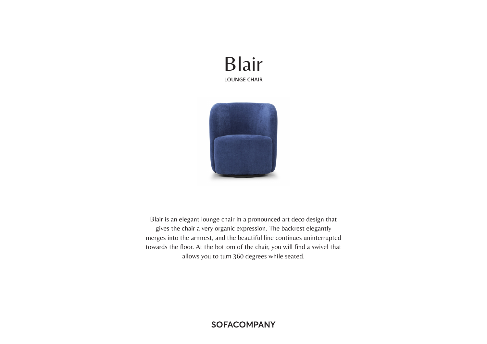# Blair **LOUNGE CHAIR**



Blair is an elegant lounge chair in a pronounced art deco design that gives the chair a very organic expression. The backrest elegantly merges into the armrest, and the beautiful line continues uninterrupted towards the floor. At the bottom of the chair, you will find a swivel that allows you to turn 360 degrees while seated.

# **SOFACOMPANY**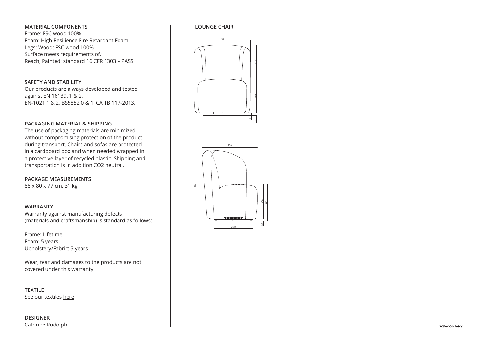### **MATERIAL COMPONENTS**

Frame: FSC wood 100% Foam: High Resilience Fire Retardant Foam Legs: Wood: FSC wood 100% Surface meets requirements of.: Reach, Painted: standard 16 CFR 1303 – PASS

#### **SAFETY AND STABILITY**

Our products are always developed and tested against EN 16139. 1 & 2. EN-1021 1 & 2, BS5852 0 & 1, CA TB 117-2013.

#### **PACKAGING MATERIAL & SHIPPING**

The use of packaging materials are minimized without compromising protection of the product during transport. Chairs and sofas are protected 760 in a cardboard box and when needed wrapped in a protective layer of recycled plastic. Shipping and transportation is in addition CO2 neutral.

**PACKAGE MEASUREMENTS** 88 x 80 x 77 cm, 31 kg

#### **WARRANTY**

Warranty against manufacturing defects (materials and craftsmanship) is standard as follows:

Frame: Lifetime Foam: 5 years Upholstery/Fabric: 5 years

Wear, tear and damages to the products are not covered under this warranty.

**TEXTILE** See our textiles here

## **DESIGNER** Cathrine Rudolph

#### **LOUNGE CHAIR**